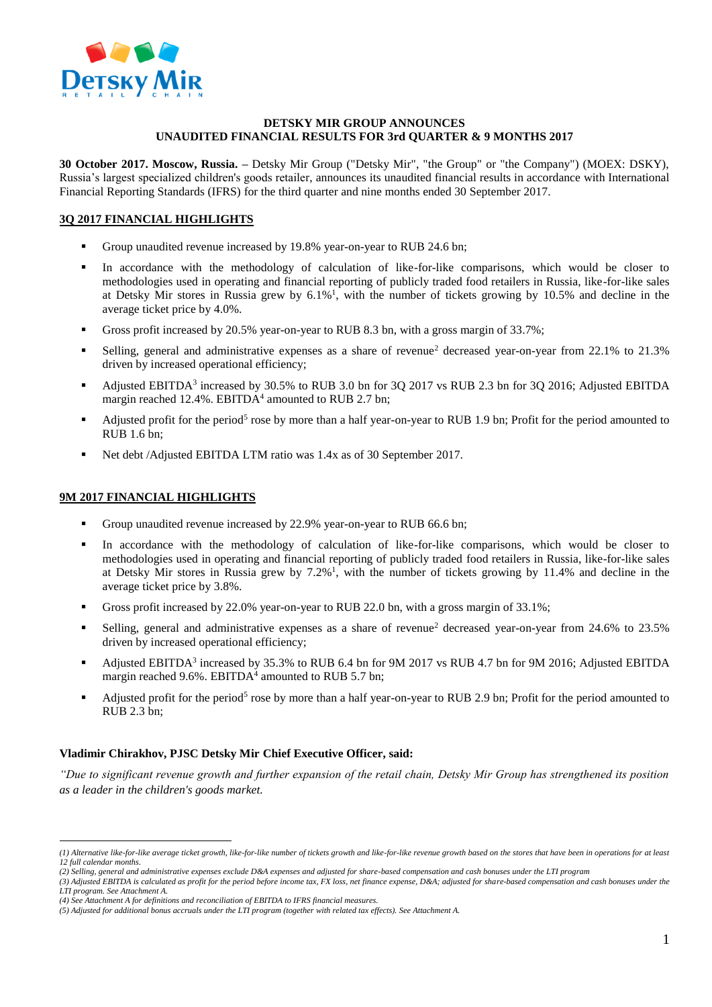

### **DETSKY MIR GROUP ANNOUNCES UNAUDITED FINANCIAL RESULTS FOR 3rd QUARTER & 9 MONTHS 2017**

**30 October 2017. Moscow, Russia. –** Detsky Mir Group ("Detsky Mir", "the Group" or "the Company") (MOEX: DSKY), Russia's largest specialized children's goods retailer, announces its unaudited financial results in accordance with International Financial Reporting Standards (IFRS) for the third quarter and nine months ended 30 September 2017.

# **3Q 2017 FINANCIAL HIGHLIGHTS**

- Group unaudited revenue increased by 19.8% year-on-year to RUB 24.6 bn;
- In accordance with the methodology of calculation of like-for-like comparisons, which would be closer to methodologies used in operating and financial reporting of publicly traded food retailers in Russia, like-for-like sales at Detsky Mir stores in Russia grew by  $6.1\%$ <sup>1</sup>, with the number of tickets growing by 10.5% and decline in the average ticket price by 4.0%.
- Gross profit increased by 20.5% year-on-year to RUB 8.3 bn, with a gross margin of 33.7%;
- Selling, general and administrative expenses as a share of revenue<sup>2</sup> decreased year-on-year from 22.1% to 21.3% driven by increased operational efficiency;
- Adjusted EBITDA<sup>3</sup> increased by 30.5% to RUB 3.0 bn for 3Q 2017 vs RUB 2.3 bn for 3Q 2016; Adjusted EBITDA margin reached 12.4%. EBITDA<sup>4</sup> amounted to RUB 2.7 bn;
- Adjusted profit for the period<sup>5</sup> rose by more than a half year-on-year to RUB 1.9 bn; Profit for the period amounted to RUB 1.6 bn;
- Net debt /Adjusted EBITDA LTM ratio was 1.4x as of 30 September 2017.

### **9M 2017 FINANCIAL HIGHLIGHTS**

 $\overline{a}$ 

- Group unaudited revenue increased by 22.9% year-on-year to RUB 66.6 bn;
- In accordance with the methodology of calculation of like-for-like comparisons, which would be closer to methodologies used in operating and financial reporting of publicly traded food retailers in Russia, like-for-like sales at Detsky Mir stores in Russia grew by 7.2%<sup>1</sup>, with the number of tickets growing by 11.4% and decline in the average ticket price by 3.8%.
- Gross profit increased by 22.0% year-on-year to RUB 22.0 bn, with a gross margin of 33.1%;
- Selling, general and administrative expenses as a share of revenue<sup>2</sup> decreased year-on-year from 24.6% to 23.5% driven by increased operational efficiency;
- Adjusted EBITDA<sup>3</sup> increased by 35.3% to RUB 6.4 bn for 9M 2017 vs RUB 4.7 bn for 9M 2016; Adjusted EBITDA margin reached 9.6%. EBITDA<sup>4</sup> amounted to RUB 5.7 bn;
- Adjusted profit for the period<sup>5</sup> rose by more than a half year-on-year to RUB 2.9 bn; Profit for the period amounted to RUB 2.3 bn;

### **Vladimir Chirakhov, PJSC Detsky Mir Chief Executive Officer, said:**

*"Due to significant revenue growth and further expansion of the retail chain, Detsky Mir Group has strengthened its position as a leader in the children's goods market.*

*<sup>(1)</sup> Alternative like-for-like average ticket growth, like-for-like number of tickets growth and like-for-like revenue growth based on the stores that have been in operations for at least 12 full calendar months.*

*<sup>(2)</sup> Selling, general and administrative expenses exclude D&A expenses and adjusted for share-based compensation and cash bonuses under the LTI program*

*<sup>(3)</sup> Adjusted EBITDA is calculated as profit for the period before income tax, FX loss, net finance expense, D&A; adjusted for share-based compensation and cash bonuses under the LTI program. See Attachment A.*

*<sup>(4)</sup> See Attachment A for definitions and reconciliation of EBITDA to IFRS financial measures.*

*<sup>(5)</sup> Adjusted for additional bonus accruals under the LTI program (together with related tax effects). See Attachment A.*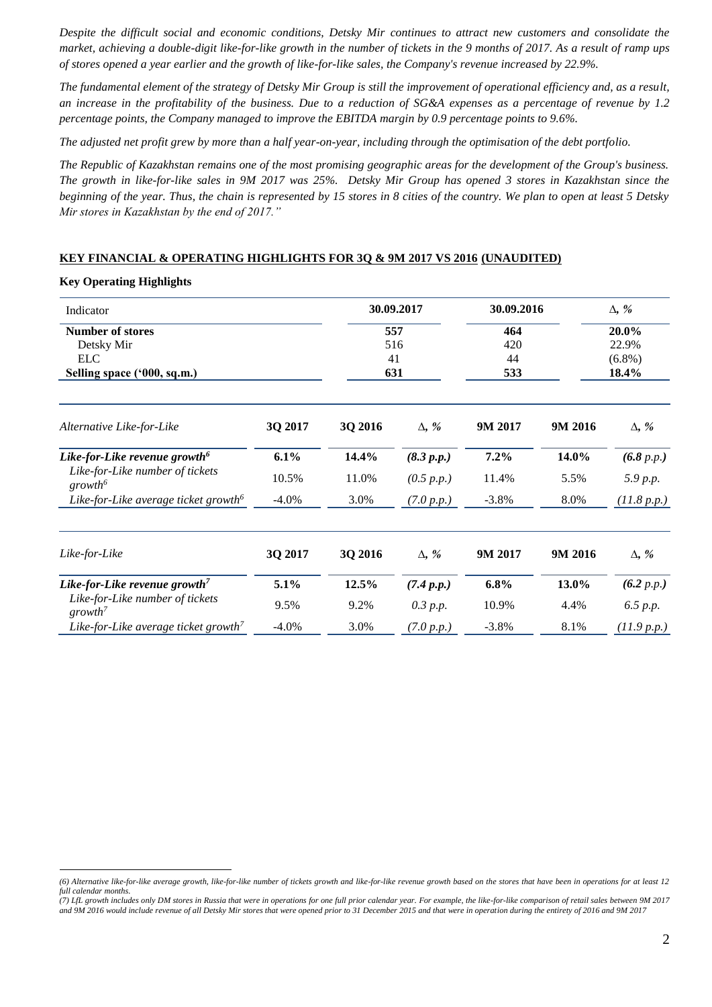*Despite the difficult social and economic conditions, Detsky Mir continues to attract new customers and consolidate the market, achieving a double-digit like-for-like growth in the number of tickets in the 9 months of 2017. As a result of ramp ups of stores opened a year earlier and the growth of like-for-like sales, the Company's revenue increased by 22.9%.* 

*The fundamental element of the strategy of Detsky Mir Group is still the improvement of operational efficiency and, as a result, an increase in the profitability of the business. Due to a reduction of SG&A expenses as a percentage of revenue by 1.2 percentage points, the Company managed to improve the EBITDA margin by 0.9 percentage points to 9.6%.* 

*The adjusted net profit grew by more than a half year-on-year, including through the optimisation of the debt portfolio.* 

*The Republic of Kazakhstan remains one of the most promising geographic areas for the development of the Group's business. The growth in like-for-like sales in 9M 2017 was 25%. Detsky Mir Group has opened 3 stores in Kazakhstan since the beginning of the year. Thus, the chain is represented by 15 stores in 8 cities of the country. We plan to open at least 5 Detsky Mir stores in Kazakhstan by the end of 2017."*

### **KEY FINANCIAL & OPERATING HIGHLIGHTS FOR 3Q & 9M 2017 VS 2016 (UNAUDITED)**

**Key Operating Highlights**

 $\overline{a}$ 

| Indicator<br><b>Number of stores</b><br>Detsky Mir<br><b>ELC</b><br>Selling space ('000, sq.m.) |          | 30.09.2017<br>557<br>516<br>41<br>631 |              | 30.09.2016 |         | $\Delta$ , %<br>20.0%<br>22.9%<br>$(6.8\%)$ |  |
|-------------------------------------------------------------------------------------------------|----------|---------------------------------------|--------------|------------|---------|---------------------------------------------|--|
|                                                                                                 |          |                                       |              | 464        |         |                                             |  |
|                                                                                                 |          |                                       |              | 420        |         |                                             |  |
|                                                                                                 |          |                                       |              | 44         |         |                                             |  |
|                                                                                                 |          |                                       |              | 533        |         | 18.4%                                       |  |
| Alternative Like-for-Like                                                                       | 3Q 2017  | 3Q 2016                               | $\Delta$ , % | 9M 2017    | 9M 2016 | $\Delta$ , %                                |  |
| Like-for-Like revenue growth <sup>6</sup>                                                       | 6.1%     | 14.4%                                 | (8.3 p.p.)   | 7.2%       | 14.0%   | (6.8 p.p.)                                  |  |
| Like-for-Like number of tickets<br>growth <sup>6</sup>                                          | 10.5%    | 11.0%                                 | (0.5 p.p.)   | 11.4%      | 5.5%    | 5.9 p.p.                                    |  |
| Like-for-Like average ticket growth <sup>6</sup>                                                | $-4.0\%$ | 3.0%                                  | (7.0 p.p.)   | $-3.8\%$   | 8.0%    | (11.8 p.p.)                                 |  |
| Like-for-Like                                                                                   | 3Q 2017  | 3Q 2016                               | $\Delta$ , % | 9M 2017    | 9M 2016 | $\Delta$ , %                                |  |
| Like-for-Like revenue growth <sup>7</sup>                                                       | 5.1%     | 12.5%                                 | (7.4 p.p.)   | $6.8\%$    | 13.0%   | (6.2 p.p.)                                  |  |
| Like-for-Like number of tickets<br>$growth^7$                                                   | 9.5%     | 9.2%                                  | 0.3 p.p.     | 10.9%      | 4.4%    | 6.5 p.p.                                    |  |
| Like-for-Like average ticket growth <sup>7</sup>                                                | $-4.0\%$ | 3.0%                                  | (7.0 p.p.)   | $-3.8\%$   | 8.1%    | (11.9 p.p.)                                 |  |

*<sup>(6)</sup> Alternative like-for-like average growth, like-for-like number of tickets growth and like-for-like revenue growth based on the stores that have been in operations for at least 12 full calendar months.*

*<sup>(7)</sup> LfL growth includes only DM stores in Russia that were in operations for one full prior calendar year. For example, the like-for-like comparison of retail sales between 9M 2017 and 9M 2016 would include revenue of all Detsky Mir stores that were opened prior to 31 December 2015 and that were in operation during the entirety of 2016 and 9M 2017*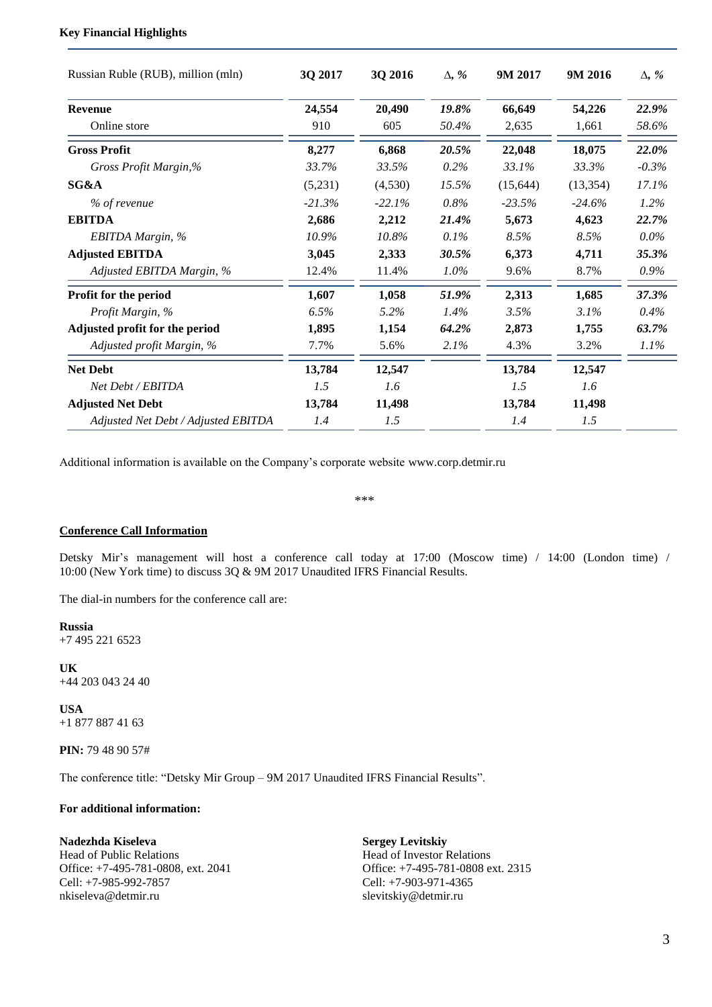## **Key Financial Highlights**

| Russian Ruble (RUB), million (mln)  | 3Q 2017  | 3Q 2016  | $\Delta$ , % | 9M 2017   | 9M 2016   | $\Delta$ , % |
|-------------------------------------|----------|----------|--------------|-----------|-----------|--------------|
| <b>Revenue</b>                      | 24,554   | 20,490   | 19.8%        | 66,649    | 54,226    | 22.9%        |
| Online store                        | 910      | 605      | 50.4%        | 2.635     | 1.661     | 58.6%        |
| <b>Gross Profit</b>                 | 8,277    | 6,868    | 20.5%        | 22,048    | 18,075    | 22.0%        |
| Gross Profit Margin,%               | 33.7%    | 33.5%    | $0.2\%$      | 33.1%     | 33.3%     | $-0.3\%$     |
| SG&A                                | (5,231)  | (4,530)  | 15.5%        | (15, 644) | (13, 354) | 17.1%        |
| % of revenue                        | $-21.3%$ | $-22.1%$ | 0.8%         | $-23.5%$  | $-24.6%$  | $1.2\%$      |
| <b>EBITDA</b>                       | 2,686    | 2,212    | 21.4%        | 5,673     | 4,623     | 22.7%        |
| EBITDA Margin, %                    | 10.9%    | 10.8%    | 0.1%         | 8.5%      | 8.5%      | $0.0\%$      |
| <b>Adjusted EBITDA</b>              | 3,045    | 2,333    | 30.5%        | 6,373     | 4,711     | 35.3%        |
| Adjusted EBITDA Margin, %           | 12.4%    | 11.4%    | 1.0%         | 9.6%      | 8.7%      | 0.9%         |
| Profit for the period               | 1,607    | 1,058    | 51.9%        | 2,313     | 1,685     | 37.3%        |
| Profit Margin, %                    | 6.5%     | 5.2%     | 1.4%         | 3.5%      | 3.1%      | 0.4%         |
| Adjusted profit for the period      | 1,895    | 1,154    | 64.2%        | 2,873     | 1,755     | 63.7%        |
| Adjusted profit Margin, %           | 7.7%     | 5.6%     | 2.1%         | 4.3%      | 3.2%      | $1.1\%$      |
| <b>Net Debt</b>                     | 13,784   | 12,547   |              | 13,784    | 12,547    |              |
| Net Debt / EBITDA                   | 1.5      | 1.6      |              | 1.5       | 1.6       |              |
| <b>Adjusted Net Debt</b>            | 13,784   | 11,498   |              | 13,784    | 11,498    |              |
| Adjusted Net Debt / Adjusted EBITDA | 1.4      | 1.5      |              | 1.4       | 1.5       |              |

Additional information is available on the Company's corporate website www.corp.detmir.ru

\*\*\*

#### **Conference Call Information**

Detsky Mir's management will host a conference call today at 17:00 (Moscow time) / 14:00 (London time) / 10:00 (New York time) to discuss 3Q & 9M 2017 Unaudited IFRS Financial Results.

The dial-in numbers for the conference call are:

**Russia**  +7 495 221 6523

**UK** +44 203 043 24 40

**USA** +1 877 887 41 63

**PIN:** 79 48 90 57#

The conference title: "Detsky Mir Group – 9M 2017 Unaudited IFRS Financial Results".

## **For additional information:**

### **Nadezhda Kiseleva**

Head of Public Relations Office: +7-495-781-0808, ext. 2041 Cell: +7-985-992-7857 nkiseleva@detmir.ru

**Sergey Levitskiy** Head of Investor Relations Office: +7-495-781-0808 ext. 2315 Cell: +7-903-971-4365 slevitskiy@detmir.ru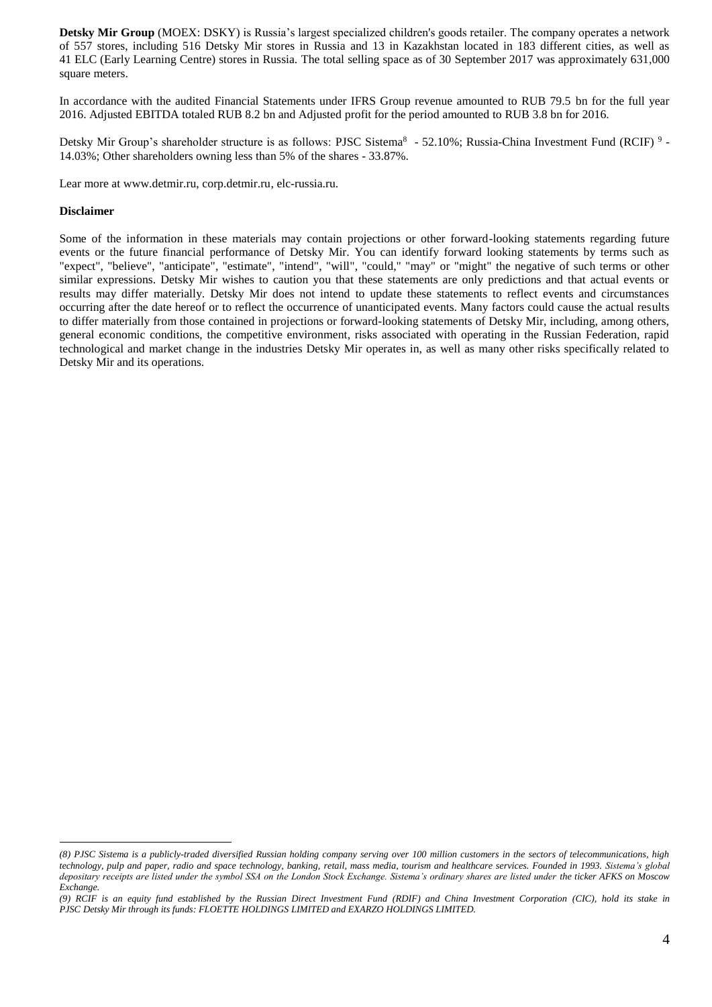**Detsky Mir Group** (MOEX: DSKY) is Russia's largest specialized children's goods retailer. The company operates a network of 557 stores, including 516 Detsky Mir stores in Russia and 13 in Kazakhstan located in 183 different cities, as well as 41 ELC (Early Learning Centre) stores in Russia. The total selling space as of 30 September 2017 was approximately 631,000 square meters.

In accordance with the audited Financial Statements under IFRS Group revenue amounted to RUB 79.5 bn for the full year 2016. Adjusted EBITDA totaled RUB 8.2 bn and Adjusted profit for the period amounted to RUB 3.8 bn for 2016.

Detsky Mir Group's shareholder structure is as follows: PJSC Sistema<sup>8</sup> - 52.10%; Russia-China Investment Fund (RCIF)<sup>9</sup> -14.03%; Other shareholders owning less than 5% of the shares - 33.87%.

Lear more at www.detmir.ru, corp.detmir.ru, elc-russia.ru.

#### **Disclaimer**

 $\overline{a}$ 

Some of the information in these materials may contain projections or other forward-looking statements regarding future events or the future financial performance of Detsky Mir. You can identify forward looking statements by terms such as "expect", "believe", "anticipate", "estimate", "intend", "will", "could," "may" or "might" the negative of such terms or other similar expressions. Detsky Mir wishes to caution you that these statements are only predictions and that actual events or results may differ materially. Detsky Mir does not intend to update these statements to reflect events and circumstances occurring after the date hereof or to reflect the occurrence of unanticipated events. Many factors could cause the actual results to differ materially from those contained in projections or forward-looking statements of Detsky Mir, including, among others, general economic conditions, the competitive environment, risks associated with operating in the Russian Federation, rapid technological and market change in the industries Detsky Mir operates in, as well as many other risks specifically related to Detsky Mir and its operations.

*<sup>(8)</sup> PJSC Sistema is a publicly-traded diversified Russian holding company serving over 100 million customers in the sectors of telecommunications, high technology, pulp and paper, radio and space technology, banking, retail, mass media, tourism and healthcare services. Founded in 1993. Sistema's global depositary receipts are listed under the symbol SSA on the London Stock Exchange. Sistema's ordinary shares are listed under the ticker AFKS on Moscow Exchange.*

*<sup>(9)</sup> RCIF is an equity fund established by the Russian Direct Investment Fund (RDIF) and China Investment Corporation (CIC), hold its stake in PJSC Detsky Mir through its funds: FLOETTE HOLDINGS LIMITED and EXARZO HOLDINGS LIMITED.*